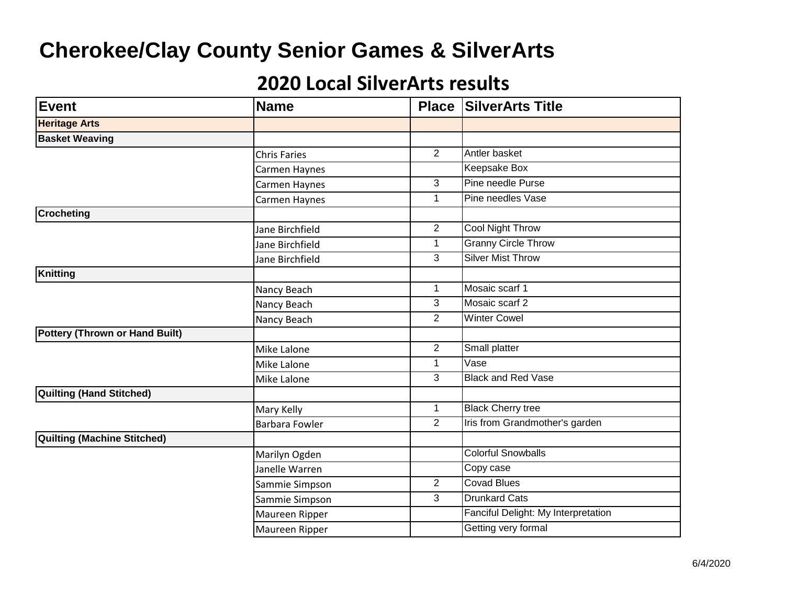| <b>Event</b>                          | <b>Name</b>           |                     | <b>Place SilverArts Title</b>       |
|---------------------------------------|-----------------------|---------------------|-------------------------------------|
| <b>Heritage Arts</b>                  |                       |                     |                                     |
| <b>Basket Weaving</b>                 |                       |                     |                                     |
|                                       | <b>Chris Faries</b>   | $\overline{2}$      | Antler basket                       |
|                                       | Carmen Haynes         |                     | Keepsake Box                        |
|                                       | Carmen Haynes         | $\overline{\omega}$ | Pine needle Purse                   |
|                                       | Carmen Haynes         | $\mathbf{1}$        | Pine needles Vase                   |
| <b>Crocheting</b>                     |                       |                     |                                     |
|                                       | Jane Birchfield       | $\overline{2}$      | <b>Cool Night Throw</b>             |
|                                       | Jane Birchfield       | $\mathbf{1}$        | <b>Granny Circle Throw</b>          |
|                                       | Jane Birchfield       | 3                   | <b>Silver Mist Throw</b>            |
| Knitting                              |                       |                     |                                     |
|                                       | Nancy Beach           | $\mathbf 1$         | Mosaic scarf 1                      |
|                                       | Nancy Beach           | 3                   | Mosaic scarf 2                      |
|                                       | Nancy Beach           | 2                   | <b>Winter Cowel</b>                 |
| <b>Pottery (Thrown or Hand Built)</b> |                       |                     |                                     |
|                                       | Mike Lalone           | $\overline{2}$      | Small platter                       |
|                                       | Mike Lalone           | $\mathbf{1}$        | Vase                                |
|                                       | Mike Lalone           | 3                   | <b>Black and Red Vase</b>           |
| Quilting (Hand Stitched)              |                       |                     |                                     |
|                                       | Mary Kelly            | $\mathbf{1}$        | <b>Black Cherry tree</b>            |
|                                       | <b>Barbara Fowler</b> | $\overline{2}$      | Iris from Grandmother's garden      |
| Quilting (Machine Stitched)           |                       |                     |                                     |
|                                       | Marilyn Ogden         |                     | <b>Colorful Snowballs</b>           |
|                                       | Janelle Warren        |                     | Copy case                           |
|                                       | Sammie Simpson        | $\overline{2}$      | <b>Covad Blues</b>                  |
|                                       | Sammie Simpson        | 3                   | <b>Drunkard Cats</b>                |
|                                       | Maureen Ripper        |                     | Fanciful Delight: My Interpretation |
|                                       | Maureen Ripper        |                     | Getting very formal                 |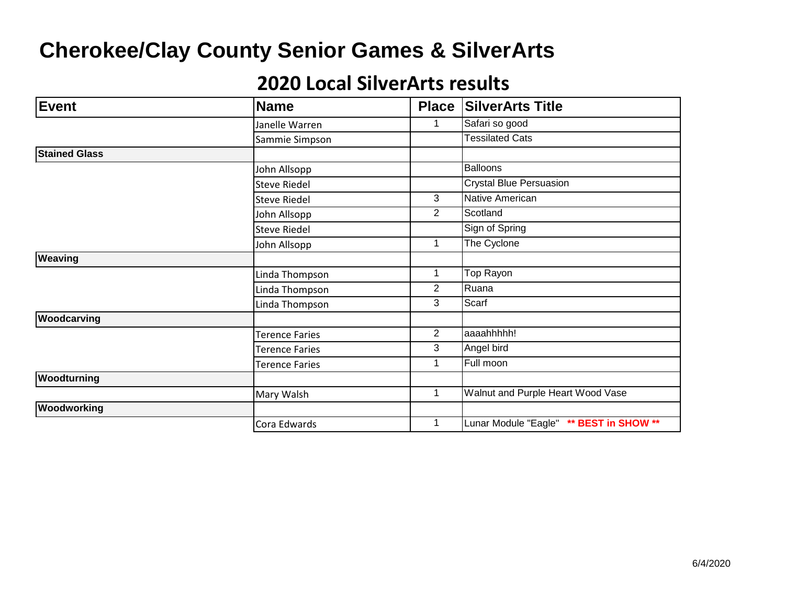| <b>Event</b>         | <b>Name</b>           | <b>Place</b>   | <b>SilverArts Title</b>                 |
|----------------------|-----------------------|----------------|-----------------------------------------|
|                      | Janelle Warren        | 1              | Safari so good                          |
|                      | Sammie Simpson        |                | <b>Tessilated Cats</b>                  |
| <b>Stained Glass</b> |                       |                |                                         |
|                      | John Allsopp          |                | <b>Balloons</b>                         |
|                      | <b>Steve Riedel</b>   |                | <b>Crystal Blue Persuasion</b>          |
|                      | <b>Steve Riedel</b>   | 3              | Native American                         |
|                      | John Allsopp          | 2              | Scotland                                |
|                      | <b>Steve Riedel</b>   |                | Sign of Spring                          |
|                      | John Allsopp          | 1              | The Cyclone                             |
| Weaving              |                       |                |                                         |
|                      | Linda Thompson        | 1              | Top Rayon                               |
|                      | Linda Thompson        | 2              | Ruana                                   |
|                      | Linda Thompson        | 3              | Scarf                                   |
| Woodcarving          |                       |                |                                         |
|                      | Terence Faries        | $\overline{2}$ | aaaahhhhh!                              |
|                      | <b>Terence Faries</b> | 3              | Angel bird                              |
|                      | <b>Terence Faries</b> | 1              | Full moon                               |
| Woodturning          |                       |                |                                         |
|                      | Mary Walsh            | 1              | Walnut and Purple Heart Wood Vase       |
| Woodworking          |                       |                |                                         |
|                      | Cora Edwards          | 1              | Lunar Module "Eagle" ** BEST in SHOW ** |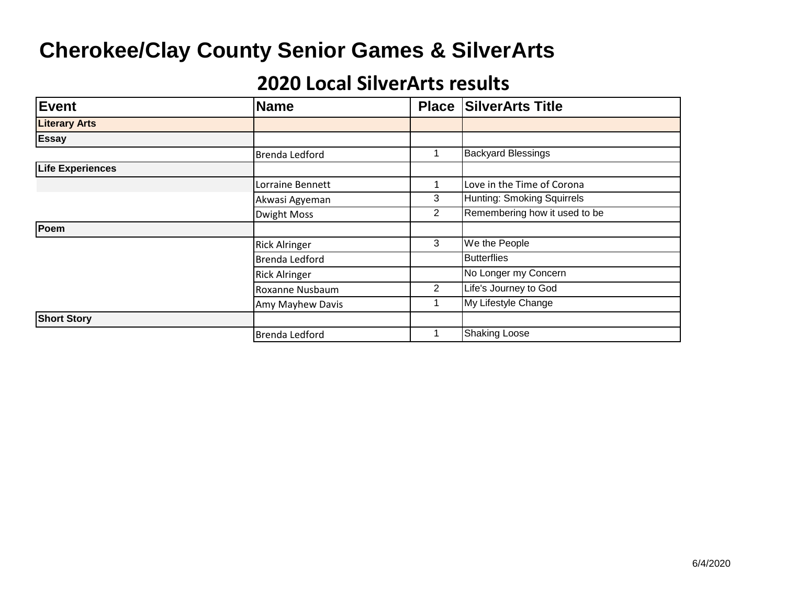| <b>Event</b>            | <b>Name</b>           | <b>Place</b> | <b>SilverArts Title</b>       |
|-------------------------|-----------------------|--------------|-------------------------------|
| <b>Literary Arts</b>    |                       |              |                               |
| <b>Essay</b>            |                       |              |                               |
|                         | <b>Brenda Ledford</b> |              | <b>Backyard Blessings</b>     |
| <b>Life Experiences</b> |                       |              |                               |
|                         | Lorraine Bennett      | 1            | Love in the Time of Corona    |
|                         | Akwasi Agyeman        | 3            | Hunting: Smoking Squirrels    |
|                         | <b>Dwight Moss</b>    | 2            | Remembering how it used to be |
| Poem                    |                       |              |                               |
|                         | <b>Rick Alringer</b>  | 3            | We the People                 |
|                         | Brenda Ledford        |              | <b>Butterflies</b>            |
|                         | <b>Rick Alringer</b>  |              | No Longer my Concern          |
|                         | Roxanne Nusbaum       | 2            | Life's Journey to God         |
|                         | Amy Mayhew Davis      |              | My Lifestyle Change           |
| <b>Short Story</b>      |                       |              |                               |
|                         | <b>Brenda Ledford</b> |              | <b>Shaking Loose</b>          |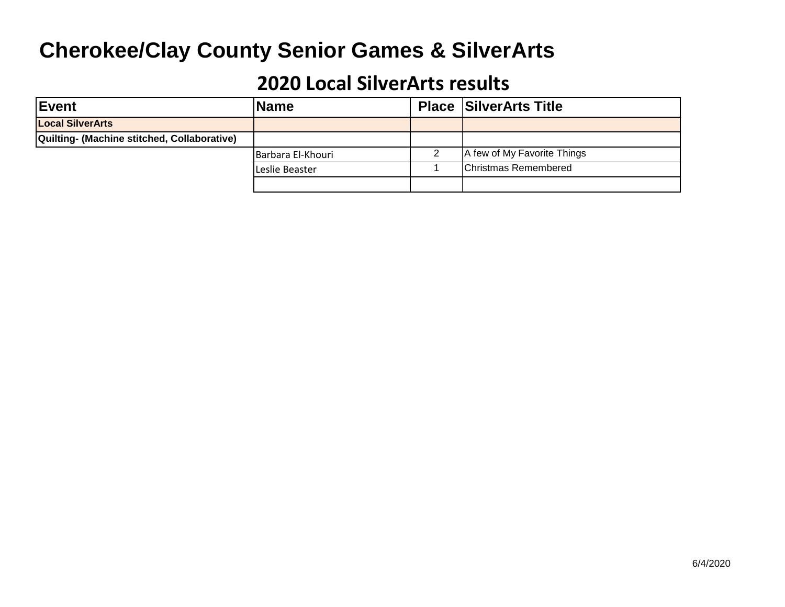| lEvent                                      | <b>Name</b>       | <b>Place SilverArts Title</b> |
|---------------------------------------------|-------------------|-------------------------------|
| <b>Local SilverArts</b>                     |                   |                               |
| Quilting- (Machine stitched, Collaborative) |                   |                               |
|                                             | Barbara El-Khouri | A few of My Favorite Things   |
|                                             | Leslie Beaster    | <b>IChristmas Remembered</b>  |
|                                             |                   |                               |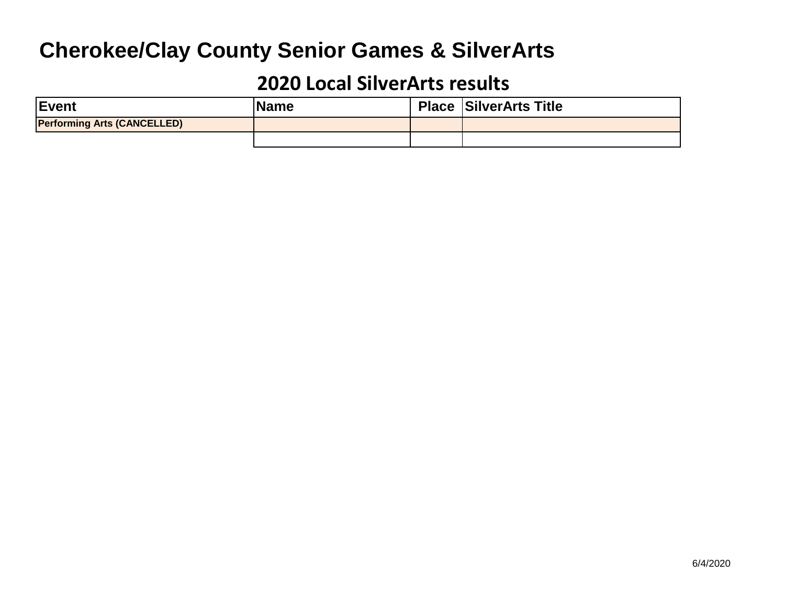| <b>IEvent</b>                      | <b>IName</b> | <b>Place SilverArts Title</b> |
|------------------------------------|--------------|-------------------------------|
| <b>Performing Arts (CANCELLED)</b> |              |                               |
|                                    |              |                               |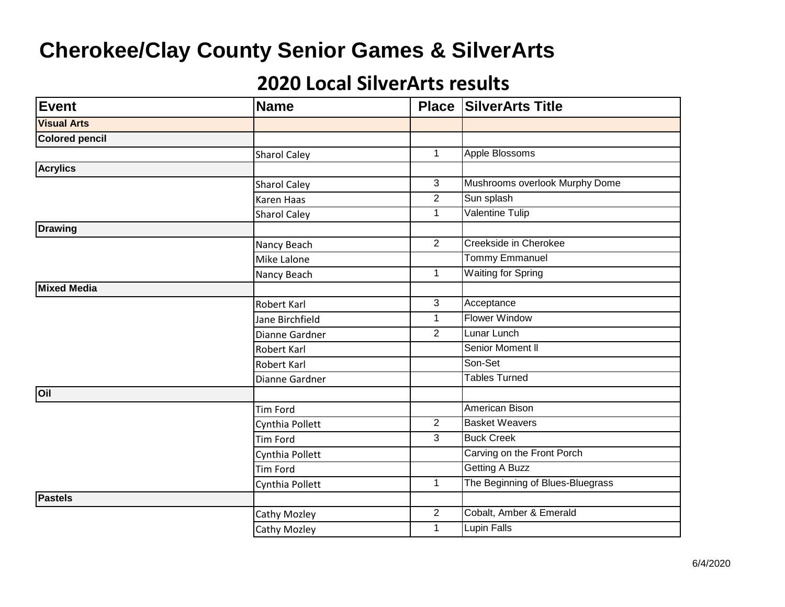| <b>Event</b>          | <b>Name</b>         |                | <b>Place SilverArts Title</b>    |
|-----------------------|---------------------|----------------|----------------------------------|
| <b>Visual Arts</b>    |                     |                |                                  |
| <b>Colored pencil</b> |                     |                |                                  |
|                       | <b>Sharol Caley</b> | $\mathbf{1}$   | <b>Apple Blossoms</b>            |
| <b>Acrylics</b>       |                     |                |                                  |
|                       | <b>Sharol Caley</b> | $\overline{3}$ | Mushrooms overlook Murphy Dome   |
|                       | <b>Karen Haas</b>   | $\overline{2}$ | Sun splash                       |
|                       | <b>Sharol Caley</b> | $\mathbf{1}$   | Valentine Tulip                  |
| <b>Drawing</b>        |                     |                |                                  |
|                       | Nancy Beach         | $\overline{2}$ | Creekside in Cherokee            |
|                       | Mike Lalone         |                | Tommy Emmanuel                   |
|                       | Nancy Beach         | $\mathbf 1$    | <b>Waiting for Spring</b>        |
| Mixed Media           |                     |                |                                  |
|                       | <b>Robert Karl</b>  | 3              | Acceptance                       |
|                       | Jane Birchfield     | $\mathbf{1}$   | <b>Flower Window</b>             |
|                       | Dianne Gardner      | $\overline{2}$ | Lunar Lunch                      |
|                       | Robert Karl         |                | Senior Moment II                 |
|                       | Robert Karl         |                | Son-Set                          |
|                       | Dianne Gardner      |                | <b>Tables Turned</b>             |
| <b>Oil</b>            |                     |                |                                  |
|                       | Tim Ford            |                | <b>American Bison</b>            |
|                       | Cynthia Pollett     | $\overline{2}$ | <b>Basket Weavers</b>            |
|                       | Tim Ford            | 3              | <b>Buck Creek</b>                |
|                       | Cynthia Pollett     |                | Carving on the Front Porch       |
|                       | <b>Tim Ford</b>     |                | <b>Getting A Buzz</b>            |
|                       | Cynthia Pollett     | $\mathbf{1}$   | The Beginning of Blues-Bluegrass |
| <b>Pastels</b>        |                     |                |                                  |
|                       | Cathy Mozley        | $\overline{2}$ | Cobalt, Amber & Emerald          |
|                       | Cathy Mozley        | 1              | Lupin Falls                      |